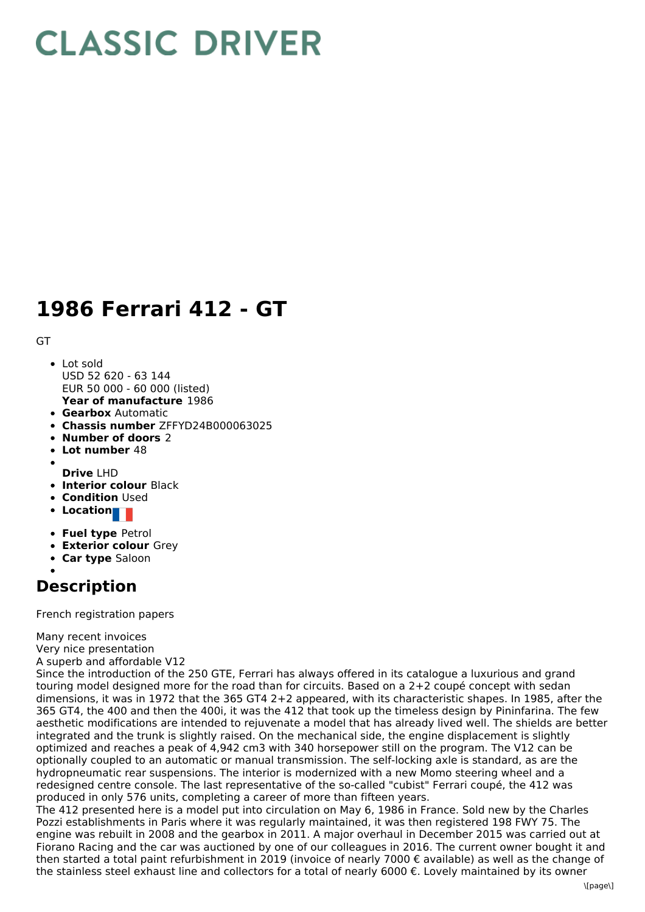## **CLASSIC DRIVER**

## **1986 Ferrari 412 - GT**

## GT

- **Year of manufacture** 1986 • Lot sold USD 52 620 - 63 144 EUR 50 000 - 60 000 (listed)
- **Gearbox** Automatic
- **Chassis number** ZFFYD24B000063025
- **Number of doors** 2
- **Lot number** 48
- 
- **Drive** LHD
- **Interior colour** Black
- **Condition Used**
- **•** Location
- **Fuel type** Petrol
- **Exterior colour** Grey
- **Car type** Saloon
- 

## **Description**

French registration papers

Many recent invoices Very nice presentation

A superb and affordable V12

Since the introduction of the 250 GTE, Ferrari has always offered in its catalogue a luxurious and grand touring model designed more for the road than for circuits. Based on a 2+2 coupé concept with sedan dimensions, it was in 1972 that the 365 GT4 2+2 appeared, with its characteristic shapes. In 1985, after the 365 GT4, the 400 and then the 400i, it was the 412 that took up the timeless design by Pininfarina. The few aesthetic modifications are intended to rejuvenate a model that has already lived well. The shields are better integrated and the trunk is slightly raised. On the mechanical side, the engine displacement is slightly optimized and reaches a peak of 4,942 cm3 with 340 horsepower still on the program. The V12 can be optionally coupled to an automatic or manual transmission. The self-locking axle is standard, as are the hydropneumatic rear suspensions. The interior is modernized with a new Momo steering wheel and a redesigned centre console. The last representative of the so-called "cubist" Ferrari coupé, the 412 was produced in only 576 units, completing a career of more than fifteen years.

The 412 presented here is a model put into circulation on May 6, 1986 in France. Sold new by the Charles Pozzi establishments in Paris where it was regularly maintained, it was then registered 198 FWY 75. The engine was rebuilt in 2008 and the gearbox in 2011. A major overhaul in December 2015 was carried out at Fiorano Racing and the car was auctioned by one of our colleagues in 2016. The current owner bought it and then started a total paint refurbishment in 2019 (invoice of nearly 7000 € available) as well as the change of the stainless steel exhaust line and collectors for a total of nearly 6000 €. Lovely maintained by its owner